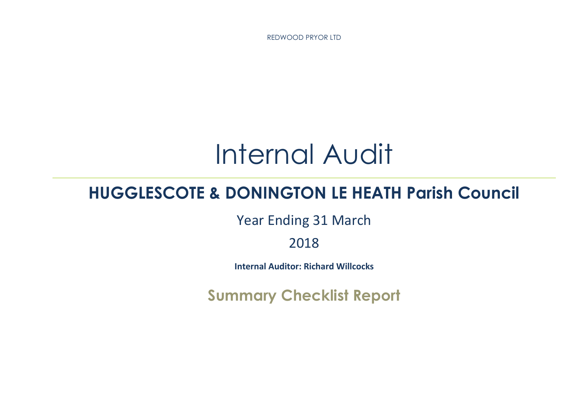REDWOOD PRYOR LTD

# Internal Audit

# **HUGGLESCOTE & DONINGTON LE HEATH Parish Council**

Year Ending 31 March

2018

**Internal Auditor: Richard Willcocks**

**Summary Checklist Report**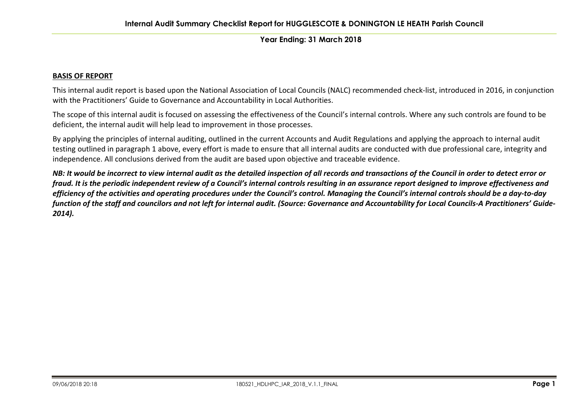#### **BASIS OF REPORT**

This internal audit report is based upon the National Association of Local Councils (NALC) recommended check-list, introduced in 2016, in conjunction with the Practitioners' Guide to Governance and Accountability in Local Authorities.

The scope of this internal audit is focused on assessing the effectiveness of the Council's internal controls. Where any such controls are found to be deficient, the internal audit will help lead to improvement in those processes.

By applying the principles of internal auditing, outlined in the current Accounts and Audit Regulations and applying the approach to internal audit testing outlined in paragraph 1 above, every effort is made to ensure that all internal audits are conducted with due professional care, integrity and independence. All conclusions derived from the audit are based upon objective and traceable evidence.

NB: It would be incorrect to view internal audit as the detailed inspection of all records and transactions of the Council in order to detect error or fraud. It is the periodic independent review of a Council's internal controls resulting in an assurance report designed to improve effectiveness and efficiency of the activities and operating procedures under the Council's control. Managing the Council's internal controls should be a day-to-day function of the staff and councilors and not left for internal audit. (Source: Governance and Accountability for Local Councils-A Practitioners' Guide-*2014).*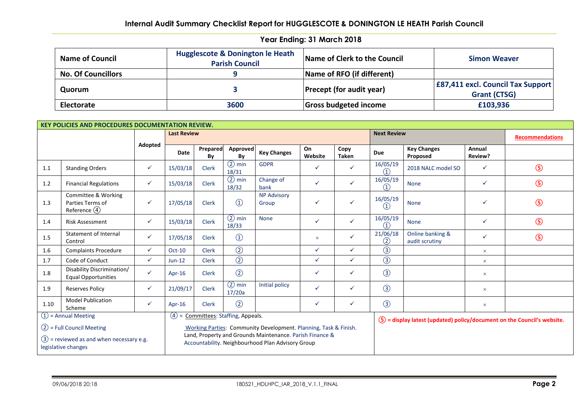| <b>Name of Council</b>    | Hugglescote & Donington le Heath<br><b>Parish Council</b> | Name of Clerk to the Council    | <b>Simon Weaver</b>                      |
|---------------------------|-----------------------------------------------------------|---------------------------------|------------------------------------------|
| <b>No. Of Councillors</b> |                                                           | Name of RFO (if different)      |                                          |
| Quorum                    |                                                           | <b>Precept (for audit year)</b> | <b>E87,411 excl. Council Tax Support</b> |
|                           |                                                           |                                 | <b>Grant (CTSG)</b>                      |
| Electorate                | 3600                                                      | <b>Gross budgeted income</b>    | £103,936                                 |

|                                                                                                                                                                                     | <b>KEY POLICIES AND PROCEDURES DOCUMENTATION REVIEW.</b>   |              |                    |                |                     |                             |               |                      |                                            |                                    |                       |                        |
|-------------------------------------------------------------------------------------------------------------------------------------------------------------------------------------|------------------------------------------------------------|--------------|--------------------|----------------|---------------------|-----------------------------|---------------|----------------------|--------------------------------------------|------------------------------------|-----------------------|------------------------|
|                                                                                                                                                                                     |                                                            |              | <b>Last Review</b> |                |                     |                             |               |                      | <b>Next Review</b>                         |                                    |                       | <b>Recommendations</b> |
|                                                                                                                                                                                     |                                                            | Adopted      | Date               | Prepared<br>By | Approved<br>Bv      | <b>Key Changes</b>          | On<br>Website | Copy<br><b>Taken</b> | Due                                        | <b>Key Changes</b><br>Proposed     | Annual<br>Review?     |                        |
| 1.1                                                                                                                                                                                 | <b>Standing Orders</b>                                     | $\checkmark$ | 15/03/18           | <b>Clerk</b>   | $(2)$ min<br>18/31  | <b>GDPR</b>                 | ✓             | ✓                    | 16/05/19<br>(1)                            | 2018 NALC model SO                 | $\checkmark$          | $\circledS$            |
| 1.2                                                                                                                                                                                 | <b>Financial Regulations</b>                               | $\checkmark$ | 15/03/18           | <b>Clerk</b>   | $(2)$ min<br>18/32  | Change of<br>bank           | $\checkmark$  | ✓                    | 16/05/19<br>(1)                            | <b>None</b>                        | $\checkmark$          | $\circledS$            |
| 1.3                                                                                                                                                                                 | Committee & Working<br>Parties Terms of<br>Reference $(4)$ | $\checkmark$ | 17/05/18           | <b>Clerk</b>   | $\circled{1}$       | <b>NP Advisory</b><br>Group | ✓             | ✓                    | 16/05/19<br>$\circled{1}$                  | <b>None</b>                        | ✓                     | $\circledS$            |
| 1.4                                                                                                                                                                                 | <b>Risk Assessment</b>                                     | $\checkmark$ | 15/03/18           | <b>Clerk</b>   | $(2)$ min<br>18/33  | <b>None</b>                 | $\checkmark$  | ✓                    | 16/05/19<br>$\textcircled{\scriptsize{1}}$ | <b>None</b>                        | $\checkmark$          | $\circledS$            |
| 1.5                                                                                                                                                                                 | <b>Statement of Internal</b><br>Control                    | $\checkmark$ | 17/05/18           | <b>Clerk</b>   | $\bigcirc$          |                             | $\times$      | ✓                    | 21/06/18<br>(2)                            | Online banking &<br>audit scrutiny | ✓                     | $\circledS$            |
| 1.6                                                                                                                                                                                 | <b>Complaints Procedure</b>                                | ✓            | Oct-10             | <b>Clerk</b>   | $\circled{2}$       |                             | $\checkmark$  | ✓                    | $\circled{3}$                              |                                    | $\boldsymbol{\times}$ |                        |
| 1.7                                                                                                                                                                                 | Code of Conduct                                            | $\checkmark$ | $Jun-12$           | <b>Clerk</b>   | $\circled{2}$       |                             | $\checkmark$  | ✓                    | $\circled{3}$                              |                                    | $\times$              |                        |
| 1.8                                                                                                                                                                                 | Disability Discrimination/<br><b>Equal Opportunities</b>   | $\checkmark$ | Apr- $16$          | <b>Clerk</b>   | $\circled{2}$       |                             | $\checkmark$  | ✓                    | $\circled{3}$                              |                                    | $\times$              |                        |
| 1.9                                                                                                                                                                                 | <b>Reserves Policy</b>                                     | $\checkmark$ | 21/09/17           | <b>Clerk</b>   | $(2)$ min<br>17/20a | Initial policy              | $\checkmark$  | ✓                    | $\circled{3}$                              |                                    | $\boldsymbol{\times}$ |                        |
| 1.10                                                                                                                                                                                | <b>Model Publication</b><br>Scheme                         | $\checkmark$ | Apr-16             | Clerk          | $\circled{2}$       |                             | ✓             | ✓                    | $\circled{3}$                              |                                    | $\boldsymbol{\times}$ |                        |
| $(1)$ = Annual Meeting<br>$(4) =$<br>Committees: Staffing, Appeals.<br>$(5)$ = display latest (updated) policy/document on the Council's website.                                   |                                                            |              |                    |                |                     |                             |               |                      |                                            |                                    |                       |                        |
| $(2)$ = Full Council Meeting<br>Working Parties: Community Development. Planning, Task & Finish.                                                                                    |                                                            |              |                    |                |                     |                             |               |                      |                                            |                                    |                       |                        |
| Land, Property and Grounds Maintenance. Parish Finance &<br>$(3)$ = reviewed as and when necessary e.g.<br>Accountability. Neighbourhood Plan Advisory Group<br>legislative changes |                                                            |              |                    |                |                     |                             |               |                      |                                            |                                    |                       |                        |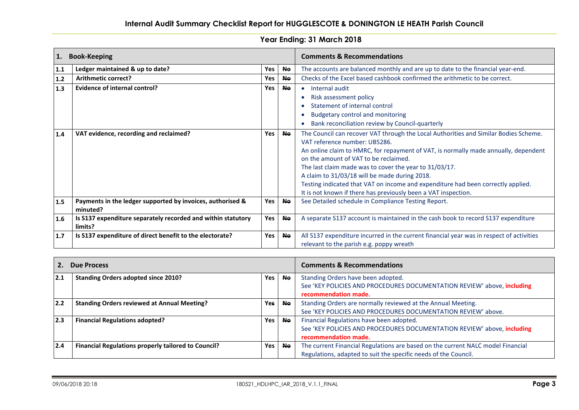| 1.  | <b>Book-Keeping</b>                                                     |     |           | <b>Comments &amp; Recommendations</b>                                                                                                                                                                                                                                                                                                                                                                                                                                                                                  |
|-----|-------------------------------------------------------------------------|-----|-----------|------------------------------------------------------------------------------------------------------------------------------------------------------------------------------------------------------------------------------------------------------------------------------------------------------------------------------------------------------------------------------------------------------------------------------------------------------------------------------------------------------------------------|
| 1.1 | Ledger maintained & up to date?                                         | Yes | <b>Ne</b> | The accounts are balanced monthly and are up to date to the financial year-end.                                                                                                                                                                                                                                                                                                                                                                                                                                        |
| 1.2 | Arithmetic correct?                                                     | Yes | <b>Ne</b> | Checks of the Excel based cashbook confirmed the arithmetic to be correct.                                                                                                                                                                                                                                                                                                                                                                                                                                             |
| 1.3 | <b>Evidence of internal control?</b>                                    | Yes | Ne.       | Internal audit<br>$\bullet$                                                                                                                                                                                                                                                                                                                                                                                                                                                                                            |
|     |                                                                         |     |           | Risk assessment policy                                                                                                                                                                                                                                                                                                                                                                                                                                                                                                 |
|     |                                                                         |     |           | Statement of internal control                                                                                                                                                                                                                                                                                                                                                                                                                                                                                          |
|     |                                                                         |     |           | <b>Budgetary control and monitoring</b>                                                                                                                                                                                                                                                                                                                                                                                                                                                                                |
|     |                                                                         |     |           | Bank reconciliation review by Council-quarterly                                                                                                                                                                                                                                                                                                                                                                                                                                                                        |
| 1.4 | VAT evidence, recording and reclaimed?                                  | Yes | <b>Ne</b> | The Council can recover VAT through the Local Authorities and Similar Bodies Scheme.<br>VAT reference number: UB5286.<br>An online claim to HMRC, for repayment of VAT, is normally made annually, dependent<br>on the amount of VAT to be reclaimed.<br>The last claim made was to cover the year to 31/03/17.<br>A claim to 31/03/18 will be made during 2018.<br>Testing indicated that VAT on income and expenditure had been correctly applied.<br>It is not known if there has previously been a VAT inspection. |
| 1.5 | Payments in the ledger supported by invoices, authorised &<br>minuted?  | Yes | <b>Ne</b> | See Detailed schedule in Compliance Testing Report.                                                                                                                                                                                                                                                                                                                                                                                                                                                                    |
| 1.6 | Is S137 expenditure separately recorded and within statutory<br>limits? | Yes | <b>Ne</b> | A separate S137 account is maintained in the cash book to record S137 expenditure                                                                                                                                                                                                                                                                                                                                                                                                                                      |
| 1.7 | Is S137 expenditure of direct benefit to the electorate?                | Yes | <b>Ne</b> | All S137 expenditure incurred in the current financial year was in respect of activities<br>relevant to the parish e.g. poppy wreath                                                                                                                                                                                                                                                                                                                                                                                   |

| <b>Due Process</b> |                                                            | <b>Comments &amp; Recommendations</b> |           |                                                                                                               |
|--------------------|------------------------------------------------------------|---------------------------------------|-----------|---------------------------------------------------------------------------------------------------------------|
| 2.1                | <b>Standing Orders adopted since 2010?</b>                 | <b>Yes</b>                            | <b>No</b> | Standing Orders have been adopted.<br>See 'KEY POLICIES AND PROCEDURES DOCUMENTATION REVIEW' above, including |
|                    |                                                            |                                       |           | recommendation made.                                                                                          |
| 2.2                | <b>Standing Orders reviewed at Annual Meeting?</b>         | <b>Yes</b>                            | <b>No</b> | Standing Orders are normally reviewed at the Annual Meeting.                                                  |
|                    |                                                            |                                       |           | See 'KEY POLICIES AND PROCEDURES DOCUMENTATION REVIEW' above.                                                 |
| 2.3                | <b>Financial Regulations adopted?</b>                      | Yes                                   | <b>Ne</b> | Financial Regulations have been adopted.                                                                      |
|                    |                                                            |                                       |           | See 'KEY POLICIES AND PROCEDURES DOCUMENTATION REVIEW' above, including                                       |
|                    |                                                            |                                       |           | recommendation made.                                                                                          |
| 2.4                | <b>Financial Regulations properly tailored to Council?</b> | Yes                                   | <b>No</b> | The current Financial Regulations are based on the current NALC model Financial                               |
|                    |                                                            |                                       |           | Regulations, adapted to suit the specific needs of the Council.                                               |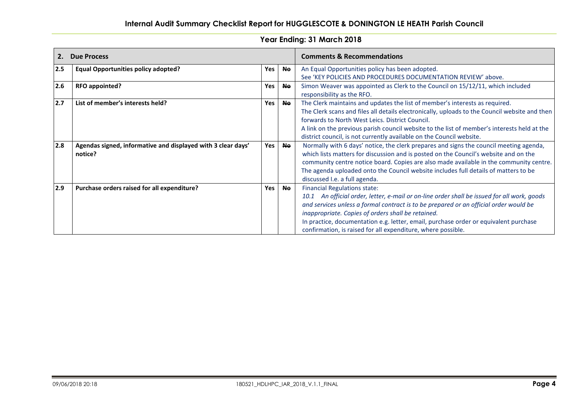| Year Ending: 31 March 2018 |  |
|----------------------------|--|
|----------------------------|--|

| 2.  | <b>Due Process</b>                                                      |     |           | <b>Comments &amp; Recommendations</b>                                                                                                                                                                                                                                                                                                                                                                                                     |
|-----|-------------------------------------------------------------------------|-----|-----------|-------------------------------------------------------------------------------------------------------------------------------------------------------------------------------------------------------------------------------------------------------------------------------------------------------------------------------------------------------------------------------------------------------------------------------------------|
| 2.5 | <b>Equal Opportunities policy adopted?</b>                              | Yes | <b>No</b> | An Equal Opportunities policy has been adopted.<br>See 'KEY POLICIES AND PROCEDURES DOCUMENTATION REVIEW' above.                                                                                                                                                                                                                                                                                                                          |
| 2.6 | RFO appointed?                                                          | Yes | <b>Ne</b> | Simon Weaver was appointed as Clerk to the Council on 15/12/11, which included<br>responsibility as the RFO.                                                                                                                                                                                                                                                                                                                              |
| 2.7 | List of member's interests held?                                        | Yes | <b>No</b> | The Clerk maintains and updates the list of member's interests as required.<br>The Clerk scans and files all details electronically, uploads to the Council website and then<br>forwards to North West Leics. District Council.<br>A link on the previous parish council website to the list of member's interests held at the<br>district council, is not currently available on the Council website.                                    |
| 2.8 | Agendas signed, informative and displayed with 3 clear days'<br>notice? | Yes | <b>Ne</b> | Normally with 6 days' notice, the clerk prepares and signs the council meeting agenda,<br>which lists matters for discussion and is posted on the Council's website and on the<br>community centre notice board. Copies are also made available in the community centre.<br>The agenda uploaded onto the Council website includes full details of matters to be<br>discussed I.e. a full agenda.                                          |
| 2.9 | Purchase orders raised for all expenditure?                             | Yes | <b>Ne</b> | <b>Financial Regulations state:</b><br>10.1 An official order, letter, e-mail or on-line order shall be issued for all work, goods<br>and services unless a formal contract is to be prepared or an official order would be<br>inappropriate. Copies of orders shall be retained.<br>In practice, documentation e.g. letter, email, purchase order or equivalent purchase<br>confirmation, is raised for all expenditure, where possible. |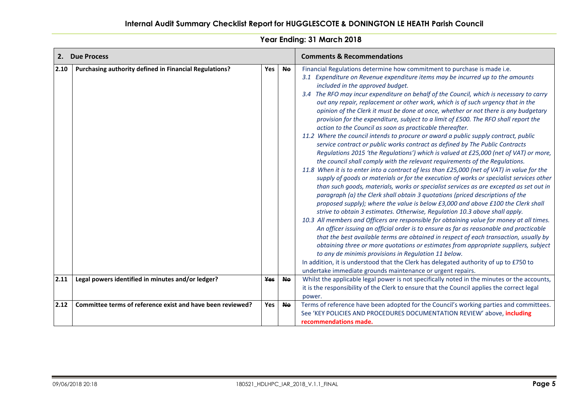| 2.   | <b>Due Process</b>                                         |            | <b>Comments &amp; Recommendations</b> |                                                                                                                                                                                                                                                                                                                                                                                                                                                                                                                                                                                                                                                                                                                                                                                                                                                                                                                                                                                                                                                                                                                                                                                                                                                                                                                                                                                                                                                                                                                                                                                                                                                                                                                                                                                                                                                                                                                                                                                                                                                                                                   |
|------|------------------------------------------------------------|------------|---------------------------------------|---------------------------------------------------------------------------------------------------------------------------------------------------------------------------------------------------------------------------------------------------------------------------------------------------------------------------------------------------------------------------------------------------------------------------------------------------------------------------------------------------------------------------------------------------------------------------------------------------------------------------------------------------------------------------------------------------------------------------------------------------------------------------------------------------------------------------------------------------------------------------------------------------------------------------------------------------------------------------------------------------------------------------------------------------------------------------------------------------------------------------------------------------------------------------------------------------------------------------------------------------------------------------------------------------------------------------------------------------------------------------------------------------------------------------------------------------------------------------------------------------------------------------------------------------------------------------------------------------------------------------------------------------------------------------------------------------------------------------------------------------------------------------------------------------------------------------------------------------------------------------------------------------------------------------------------------------------------------------------------------------------------------------------------------------------------------------------------------------|
| 2.10 | Purchasing authority defined in Financial Regulations?     | <b>Yes</b> | <b>No</b>                             | Financial Regulations determine how commitment to purchase is made i.e.<br>3.1 Expenditure on Revenue expenditure items may be incurred up to the amounts<br>included in the approved budget.<br>3.4 The RFO may incur expenditure on behalf of the Council, which is necessary to carry<br>out any repair, replacement or other work, which is of such urgency that in the<br>opinion of the Clerk it must be done at once, whether or not there is any budgetary<br>provision for the expenditure, subject to a limit of £500. The RFO shall report the<br>action to the Council as soon as practicable thereafter.<br>11.2 Where the council intends to procure or award a public supply contract, public<br>service contract or public works contract as defined by The Public Contracts<br>Regulations 2015 'the Regulations') which is valued at £25,000 (net of VAT) or more,<br>the council shall comply with the relevant requirements of the Regulations.<br>11.8 When it is to enter into a contract of less than £25,000 (net of VAT) in value for the<br>supply of goods or materials or for the execution of works or specialist services other<br>than such goods, materials, works or specialist services as are excepted as set out in<br>paragraph (a) the Clerk shall obtain 3 quotations (priced descriptions of the<br>proposed supply); where the value is below £3,000 and above £100 the Clerk shall<br>strive to obtain 3 estimates. Otherwise, Regulation 10.3 above shall apply.<br>10.3 All members and Officers are responsible for obtaining value for money at all times.<br>An officer issuing an official order is to ensure as far as reasonable and practicable<br>that the best available terms are obtained in respect of each transaction, usually by<br>obtaining three or more quotations or estimates from appropriate suppliers, subject<br>to any de minimis provisions in Regulation 11 below.<br>In addition, it is understood that the Clerk has delegated authority of up to £750 to<br>undertake immediate grounds maintenance or urgent repairs. |
| 2.11 | Legal powers identified in minutes and/or ledger?          | Yes        | <b>No</b>                             | Whilst the applicable legal power is not specifically noted in the minutes or the accounts,<br>it is the responsibility of the Clerk to ensure that the Council applies the correct legal<br>power.                                                                                                                                                                                                                                                                                                                                                                                                                                                                                                                                                                                                                                                                                                                                                                                                                                                                                                                                                                                                                                                                                                                                                                                                                                                                                                                                                                                                                                                                                                                                                                                                                                                                                                                                                                                                                                                                                               |
| 2.12 | Committee terms of reference exist and have been reviewed? | Yes        | <b>Ne</b>                             | Terms of reference have been adopted for the Council's working parties and committees.<br>See 'KEY POLICIES AND PROCEDURES DOCUMENTATION REVIEW' above, including<br>recommendations made.                                                                                                                                                                                                                                                                                                                                                                                                                                                                                                                                                                                                                                                                                                                                                                                                                                                                                                                                                                                                                                                                                                                                                                                                                                                                                                                                                                                                                                                                                                                                                                                                                                                                                                                                                                                                                                                                                                        |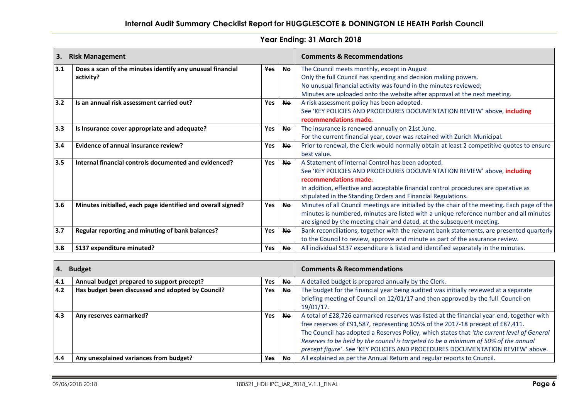| 3.  | <b>Risk Management</b>                                                 |            |           | <b>Comments &amp; Recommendations</b>                                                                                                                                                                                                                                                                        |
|-----|------------------------------------------------------------------------|------------|-----------|--------------------------------------------------------------------------------------------------------------------------------------------------------------------------------------------------------------------------------------------------------------------------------------------------------------|
| 3.1 | Does a scan of the minutes identify any unusual financial<br>activity? | <b>Yes</b> | No.       | The Council meets monthly, except in August<br>Only the full Council has spending and decision making powers.<br>No unusual financial activity was found in the minutes reviewed;<br>Minutes are uploaded onto the website after approval at the next meeting.                                               |
| 3.2 | Is an annual risk assessment carried out?                              | Yes        | <b>Ne</b> | A risk assessment policy has been adopted.<br>See 'KEY POLICIES AND PROCEDURES DOCUMENTATION REVIEW' above, including<br>recommendations made.                                                                                                                                                               |
| 3.3 | Is Insurance cover appropriate and adequate?                           | Yes        | <b>Ne</b> | The insurance is renewed annually on 21st June.<br>For the current financial year, cover was retained with Zurich Municipal.                                                                                                                                                                                 |
| 3.4 | <b>Evidence of annual insurance review?</b>                            | Yes        | <b>Ne</b> | Prior to renewal, the Clerk would normally obtain at least 2 competitive quotes to ensure<br>best value.                                                                                                                                                                                                     |
| 3.5 | Internal financial controls documented and evidenced?                  | Yes        | <b>Ne</b> | A Statement of Internal Control has been adopted.<br>See 'KEY POLICIES AND PROCEDURES DOCUMENTATION REVIEW' above, including<br>recommendations made.<br>In addition, effective and acceptable financial control procedures are operative as<br>stipulated in the Standing Orders and Financial Regulations. |
| 3.6 | Minutes initialled, each page identified and overall signed?           | Yes        | <b>Ne</b> | Minutes of all Council meetings are initialled by the chair of the meeting. Each page of the<br>minutes is numbered, minutes are listed with a unique reference number and all minutes<br>are signed by the meeting chair and dated, at the subsequent meeting.                                              |
| 3.7 | Regular reporting and minuting of bank balances?                       | <b>Yes</b> | <b>Ne</b> | Bank reconciliations, together with the relevant bank statements, are presented quarterly<br>to the Council to review, approve and minute as part of the assurance review.                                                                                                                                   |
| 3.8 | S137 expenditure minuted?                                              | Yes        | Ne.       | All individual S137 expenditure is listed and identified separately in the minutes.                                                                                                                                                                                                                          |

| 4.  | <b>Budget</b>                                     |            |           | <b>Comments &amp; Recommendations</b>                                                                                                                                                                                                                                                                                                                                                                                                              |
|-----|---------------------------------------------------|------------|-----------|----------------------------------------------------------------------------------------------------------------------------------------------------------------------------------------------------------------------------------------------------------------------------------------------------------------------------------------------------------------------------------------------------------------------------------------------------|
| 4.1 | Annual budget prepared to support precept?        | Yes        | <b>Ne</b> | A detailed budget is prepared annually by the Clerk.                                                                                                                                                                                                                                                                                                                                                                                               |
| 4.2 | Has budget been discussed and adopted by Council? | Yes        | <b>Ne</b> | The budget for the financial year being audited was initially reviewed at a separate<br>briefing meeting of Council on 12/01/17 and then approved by the full Council on<br>$19/01/17$ .                                                                                                                                                                                                                                                           |
| 4.3 | Any reserves earmarked?                           | Yes        | <b>Ne</b> | A total of £28,726 earmarked reserves was listed at the financial year-end, together with<br>free reserves of £91,587, representing 105% of the 2017-18 precept of £87,411.<br>The Council has adopted a Reserves Policy, which states that 'the current level of General<br>Reserves to be held by the council is targeted to be a minimum of 50% of the annual<br>precept figure'. See 'KEY POLICIES AND PROCEDURES DOCUMENTATION REVIEW' above. |
| 4.4 | Any unexplained variances from budget?            | <b>Yes</b> | No        | All explained as per the Annual Return and regular reports to Council.                                                                                                                                                                                                                                                                                                                                                                             |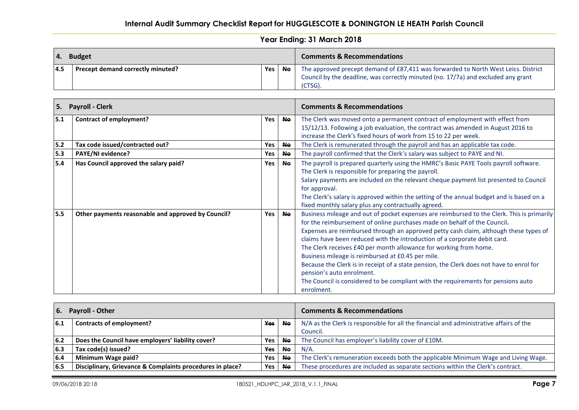# **Internal Audit Summary Checklist Report for HUGGLESCOTE & DONINGTON LE HEATH Parish Council**

| <b>Budget</b> |                                   | <b>Comments &amp; Recommendations</b> |           |                                                                                                                                                                                    |
|---------------|-----------------------------------|---------------------------------------|-----------|------------------------------------------------------------------------------------------------------------------------------------------------------------------------------------|
| 14.5          | Precept demand correctly minuted? | Yes                                   | <b>Ne</b> | The approved precept demand of £87,411 was forwarded to North West Leics. District<br>Council by the deadline, was correctly minuted (no. 17/7a) and excluded any grant<br>(CTSG). |

| 5. Payroll - Clerk |                                                    |     | <b>Comments &amp; Recommendations</b> |                                                                                                                                                                                                                                                                                                                                                                                                                                                                                                                                                                                                                                                                                                    |
|--------------------|----------------------------------------------------|-----|---------------------------------------|----------------------------------------------------------------------------------------------------------------------------------------------------------------------------------------------------------------------------------------------------------------------------------------------------------------------------------------------------------------------------------------------------------------------------------------------------------------------------------------------------------------------------------------------------------------------------------------------------------------------------------------------------------------------------------------------------|
| 5.1                | <b>Contract of employment?</b>                     | Yes | <b>No</b>                             | The Clerk was moved onto a permanent contract of employment with effect from<br>15/12/13. Following a job evaluation, the contract was amended in August 2016 to<br>increase the Clerk's fixed hours of work from 15 to 22 per week.                                                                                                                                                                                                                                                                                                                                                                                                                                                               |
| 5.2                | Tax code issued/contracted out?                    | Yes | <b>Ne</b>                             | The Clerk is remunerated through the payroll and has an applicable tax code.                                                                                                                                                                                                                                                                                                                                                                                                                                                                                                                                                                                                                       |
| 5.3                | <b>PAYE/NI evidence?</b>                           | Yes | <b>Ne</b>                             | The payroll confirmed that the Clerk's salary was subject to PAYE and NI.                                                                                                                                                                                                                                                                                                                                                                                                                                                                                                                                                                                                                          |
| 5.4                | Has Council approved the salary paid?              | Yes | <b>No</b>                             | The payroll is prepared quarterly using the HMRC's Basic PAYE Tools payroll software.<br>The Clerk is responsible for preparing the payroll.<br>Salary payments are included on the relevant cheque payment list presented to Council<br>for approval.<br>The Clerk's salary is approved within the setting of the annual budget and is based on a<br>fixed monthly salary plus any contractually agreed.                                                                                                                                                                                                                                                                                          |
| 5.5                | Other payments reasonable and approved by Council? | Yes | <b>No</b>                             | Business mileage and out of pocket expenses are reimbursed to the Clerk. This is primarily<br>for the reimbursement of online purchases made on behalf of the Council.<br>Expenses are reimbursed through an approved petty cash claim, although these types of<br>claims have been reduced with the introduction of a corporate debit card.<br>The Clerk receives £40 per month allowance for working from home.<br>Business mileage is reimbursed at £0.45 per mile.<br>Because the Clerk is in receipt of a state pension, the Clerk does not have to enrol for<br>pension's auto enrolment.<br>The Council is considered to be compliant with the requirements for pensions auto<br>enrolment. |

| Payroll - Other<br>6. |                                                           | <b>Comments &amp; Recommendations</b> |           |                                                                                         |
|-----------------------|-----------------------------------------------------------|---------------------------------------|-----------|-----------------------------------------------------------------------------------------|
| $\vert 6.1 \vert$     | Contracts of employment?                                  | <b>Yes</b>                            | <b>Ne</b> | N/A as the Clerk is responsible for all the financial and administrative affairs of the |
|                       |                                                           |                                       |           | Council.                                                                                |
| 6.2                   | Does the Council have employers' liability cover?         | Yes                                   | No.       | The Council has employer's liability cover of £10M.                                     |
| 6.3                   | Tax code(s) issued?                                       | <b>Yes</b>                            | <b>Ne</b> | $N/A$ .                                                                                 |
| 6.4                   | Minimum Wage paid?                                        | Yes                                   | Ne.       | The Clerk's remuneration exceeds both the applicable Minimum Wage and Living Wage.      |
| 6.5                   | Disciplinary, Grievance & Complaints procedures in place? | Yes                                   | No.       | These procedures are included as separate sections within the Clerk's contract.         |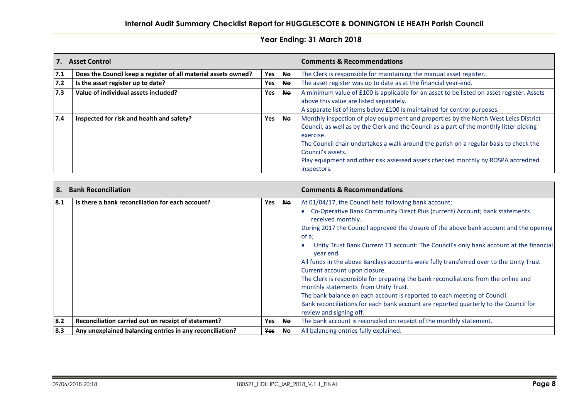| 7.  | <b>Asset Control</b>                                           |                  |           | <b>Comments &amp; Recommendations</b>                                                                                                                                                                                                                                                                                                                                                                           |  |
|-----|----------------------------------------------------------------|------------------|-----------|-----------------------------------------------------------------------------------------------------------------------------------------------------------------------------------------------------------------------------------------------------------------------------------------------------------------------------------------------------------------------------------------------------------------|--|
| 7.1 | Does the Council keep a register of all material assets owned? | <b>Yes</b>       | <b>Ne</b> | The Clerk is responsible for maintaining the manual asset register.                                                                                                                                                                                                                                                                                                                                             |  |
| 7.2 | Is the asset register up to date?                              | Yes              | <b>Ne</b> | The asset register was up to date as at the financial year-end.                                                                                                                                                                                                                                                                                                                                                 |  |
| 7.3 | Value of individual assets included?                           | <b>Yes</b>       | <b>Ne</b> | A minimum value of £100 is applicable for an asset to be listed on asset register. Assets<br>above this value are listed separately.<br>A separate list of items below £100 is maintained for control purposes.                                                                                                                                                                                                 |  |
| 7.4 | Inspected for risk and health and safety?                      | Yes<br><b>Ne</b> |           | Monthly inspection of play equipment and properties by the North West Leics District<br>Council, as well as by the Clerk and the Council as a part of the monthly litter picking<br>exercise.<br>The Council chair undertakes a walk around the parish on a regular basis to check the<br>Council's assets.<br>Play equipment and other risk assessed assets checked monthly by ROSPA accredited<br>inspectors. |  |

| 8.  | <b>Bank Reconciliation</b>                               |     |           | <b>Comments &amp; Recommendations</b>                                                                                                                                                                                                                                                                                                                                                                                                                                                                                                                                                                                                                                                                                                                                                                                       |  |  |
|-----|----------------------------------------------------------|-----|-----------|-----------------------------------------------------------------------------------------------------------------------------------------------------------------------------------------------------------------------------------------------------------------------------------------------------------------------------------------------------------------------------------------------------------------------------------------------------------------------------------------------------------------------------------------------------------------------------------------------------------------------------------------------------------------------------------------------------------------------------------------------------------------------------------------------------------------------------|--|--|
| 8.1 | Is there a bank reconciliation for each account?         | Yes | <b>Ne</b> | At 01/04/17, the Council held following bank account;<br>Co-Operative Bank Community Direct Plus (current) Account; bank statements<br>received monthly.<br>During 2017 the Council approved the closure of the above bank account and the opening<br>of a;<br>Unity Trust Bank Current T1 account: The Council's only bank account at the financial<br>year end.<br>All funds in the above Barclays accounts were fully transferred over to the Unity Trust<br>Current account upon closure.<br>The Clerk is responsible for preparing the bank reconciliations from the online and<br>monthly statements from Unity Trust.<br>The bank balance on each account is reported to each meeting of Council.<br>Bank reconciliations for each bank account are reported quarterly to the Council for<br>review and signing off. |  |  |
| 8.2 | Reconciliation carried out on receipt of statement?      | Yes | <b>No</b> | The bank account is reconciled on receipt of the monthly statement.                                                                                                                                                                                                                                                                                                                                                                                                                                                                                                                                                                                                                                                                                                                                                         |  |  |
| 8.3 | Any unexplained balancing entries in any reconciliation? | Yes | No.       | All balancing entries fully explained.                                                                                                                                                                                                                                                                                                                                                                                                                                                                                                                                                                                                                                                                                                                                                                                      |  |  |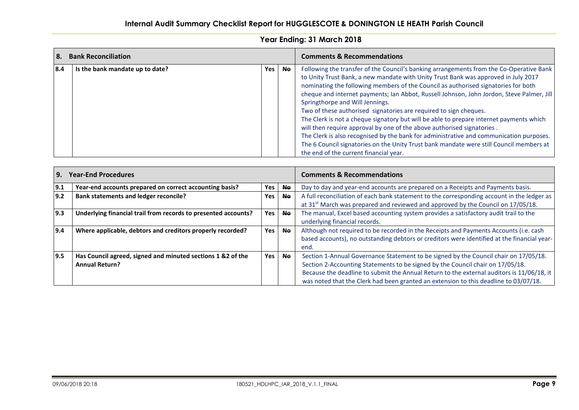| l 8. | <b>Bank Reconciliation</b>      |            |           | <b>Comments &amp; Recommendations</b>                                                                                                                                                                                                                                                                                                                                                                                                                                                                                                                                                                                                                                                                                                                                                                                                                                         |  |  |
|------|---------------------------------|------------|-----------|-------------------------------------------------------------------------------------------------------------------------------------------------------------------------------------------------------------------------------------------------------------------------------------------------------------------------------------------------------------------------------------------------------------------------------------------------------------------------------------------------------------------------------------------------------------------------------------------------------------------------------------------------------------------------------------------------------------------------------------------------------------------------------------------------------------------------------------------------------------------------------|--|--|
| 18.4 | Is the bank mandate up to date? | <b>Yes</b> | <b>No</b> | Following the transfer of the Council's banking arrangements from the Co-Operative Bank<br>to Unity Trust Bank, a new mandate with Unity Trust Bank was approved in July 2017<br>nominating the following members of the Council as authorised signatories for both<br>cheque and internet payments; Ian Abbot, Russell Johnson, John Jordon, Steve Palmer, Jill<br>Springthorpe and Will Jennings.<br>Two of these authorised signatories are required to sign cheques.<br>The Clerk is not a cheque signatory but will be able to prepare internet payments which<br>will then require approval by one of the above authorised signatories.<br>The Clerk is also recognised by the bank for administrative and communication purposes.<br>The 6 Council signatories on the Unity Trust bank mandate were still Council members at<br>the end of the current financial year. |  |  |

| I 9. | <b>Year-End Procedures</b>                                                           |            |           | <b>Comments &amp; Recommendations</b>                                                                                                                                                                                                                                                                                                                       |  |  |
|------|--------------------------------------------------------------------------------------|------------|-----------|-------------------------------------------------------------------------------------------------------------------------------------------------------------------------------------------------------------------------------------------------------------------------------------------------------------------------------------------------------------|--|--|
| 9.1  | Year-end accounts prepared on correct accounting basis?                              | Yes        | <b>Ne</b> | Day to day and year-end accounts are prepared on a Receipts and Payments basis.                                                                                                                                                                                                                                                                             |  |  |
| 9.2  | <b>Bank statements and ledger reconcile?</b>                                         | Yes        | <b>No</b> | A full reconciliation of each bank statement to the corresponding account in the ledger as<br>at 31 <sup>st</sup> March was prepared and reviewed and approved by the Council on 17/05/18.                                                                                                                                                                  |  |  |
| 9.3  | Underlying financial trail from records to presented accounts?                       | Yes        | <b>Ne</b> | The manual, Excel based accounting system provides a satisfactory audit trail to the<br>underlying financial records.                                                                                                                                                                                                                                       |  |  |
| 9.4  | Where applicable, debtors and creditors properly recorded?                           | <b>Yes</b> | <b>Ne</b> | Although not required to be recorded in the Receipts and Payments Accounts (i.e. cash<br>based accounts), no outstanding debtors or creditors were identified at the financial year-<br>end.                                                                                                                                                                |  |  |
| 9.5  | Has Council agreed, signed and minuted sections 1 &2 of the<br><b>Annual Return?</b> | <b>Yes</b> | <b>No</b> | Section 1-Annual Governance Statement to be signed by the Council chair on 17/05/18.<br>Section 2-Accounting Statements to be signed by the Council chair on 17/05/18.<br>Because the deadline to submit the Annual Return to the external auditors is 11/06/18, it<br>was noted that the Clerk had been granted an extension to this deadline to 03/07/18. |  |  |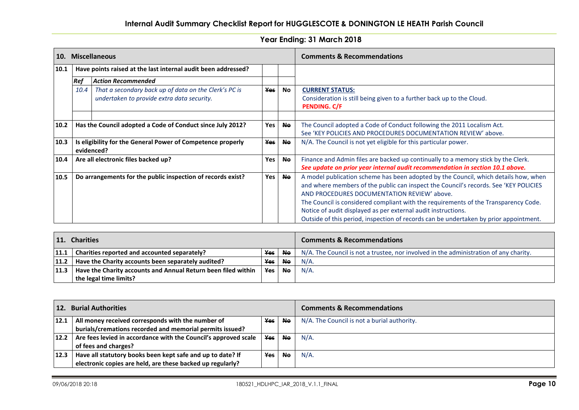| 10.  | <b>Miscellaneous</b>                                                                    |                                                               |            |                                                                 | <b>Comments &amp; Recommendations</b>                                                 |  |  |
|------|-----------------------------------------------------------------------------------------|---------------------------------------------------------------|------------|-----------------------------------------------------------------|---------------------------------------------------------------------------------------|--|--|
| 10.1 |                                                                                         | Have points raised at the last internal audit been addressed? |            |                                                                 |                                                                                       |  |  |
|      | <b>Ref</b>                                                                              | <b>Action Recommended</b>                                     |            |                                                                 |                                                                                       |  |  |
|      | 10.4                                                                                    | That a secondary back up of data on the Clerk's PC is         | <b>Yes</b> | No                                                              | <b>CURRENT STATUS:</b>                                                                |  |  |
|      | undertaken to provide extra data security.                                              |                                                               |            |                                                                 | Consideration is still being given to a further back up to the Cloud.                 |  |  |
|      |                                                                                         |                                                               |            |                                                                 | PENDING. C/F                                                                          |  |  |
|      |                                                                                         |                                                               |            |                                                                 |                                                                                       |  |  |
| 10.2 |                                                                                         | Has the Council adopted a Code of Conduct since July 2012?    | Yes        | <b>No</b>                                                       | The Council adopted a Code of Conduct following the 2011 Localism Act.                |  |  |
|      |                                                                                         |                                                               |            |                                                                 | See 'KEY POLICIES AND PROCEDURES DOCUMENTATION REVIEW' above.                         |  |  |
| 10.3 | Is eligibility for the General Power of Competence properly<br><b>Yes</b><br>evidenced? |                                                               | <b>No</b>  | N/A. The Council is not yet eligible for this particular power. |                                                                                       |  |  |
| 10.4 |                                                                                         | Are all electronic files backed up?                           | <b>Yes</b> | <b>No</b>                                                       | Finance and Admin files are backed up continually to a memory stick by the Clerk.     |  |  |
|      |                                                                                         |                                                               |            |                                                                 | See update on prior year internal audit recommendation in section 10.1 above.         |  |  |
| 10.5 |                                                                                         | Do arrangements for the public inspection of records exist?   | Yes        | <b>No</b>                                                       | A model publication scheme has been adopted by the Council, which details how, when   |  |  |
|      |                                                                                         |                                                               |            |                                                                 | and where members of the public can inspect the Council's records. See 'KEY POLICIES  |  |  |
|      |                                                                                         |                                                               |            | AND PROCEDURES DOCUMENTATION REVIEW' above.                     |                                                                                       |  |  |
|      |                                                                                         |                                                               |            |                                                                 | The Council is considered compliant with the requirements of the Transparency Code.   |  |  |
|      |                                                                                         |                                                               |            |                                                                 | Notice of audit displayed as per external audit instructions.                         |  |  |
|      |                                                                                         |                                                               |            |                                                                 | Outside of this period, inspection of records can be undertaken by prior appointment. |  |  |

| $\mathbf{11}$ .<br><b>Charities</b> |                                                               | <b>Comments &amp; Recommendations</b> |           |                                                                                       |
|-------------------------------------|---------------------------------------------------------------|---------------------------------------|-----------|---------------------------------------------------------------------------------------|
| 11.1                                | Charities reported and accounted separately?                  | <b>Yes</b>                            | No.       | N/A. The Council is not a trustee, nor involved in the administration of any charity. |
|                                     | $ 11.2 $ Have the Charity accounts been separately audited?   | <b>Yes</b>                            | <b>No</b> | $N/A$ .                                                                               |
| 11.3                                | Have the Charity accounts and Annual Return been filed within | Yes                                   | <b>Ne</b> | $N/A$ .                                                                               |
|                                     | the legal time limits?                                        |                                       |           |                                                                                       |

| 12.  | <b>Burial Authorities</b>                                                |     |           | <b>Comments &amp; Recommendations</b>       |
|------|--------------------------------------------------------------------------|-----|-----------|---------------------------------------------|
| 12.1 | All money received corresponds with the number of                        | Yes | No.       | N/A. The Council is not a burial authority. |
|      | burials/cremations recorded and memorial permits issued?                 |     |           |                                             |
|      | $ 12.2 $ Are fees levied in accordance with the Council's approved scale | Yes | <b>Ne</b> | $N/A$ .                                     |
|      | of fees and charges?                                                     |     |           |                                             |
| 12.3 | Have all statutory books been kept safe and up to date? If               | Yes | <b>Ne</b> | $N/A$ .                                     |
|      | electronic copies are held, are these backed up regularly?               |     |           |                                             |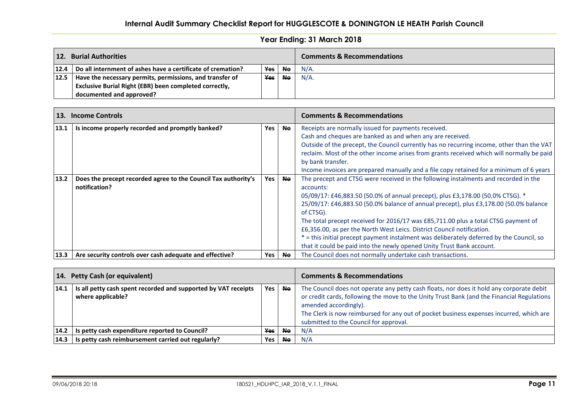# **Internal Audit Summary Checklist Report for HUGGLESCOTE & DONINGTON LE HEATH Parish Council**

| 12. | <b>Burial Authorities</b>                                          |     |           | <b>Comments &amp; Recommendations</b> |
|-----|--------------------------------------------------------------------|-----|-----------|---------------------------------------|
|     | 12.4   Do all internment of ashes have a certificate of cremation? | Yes | <b>No</b> | $N/A$ .                               |
|     | $12.5$   Have the necessary permits, permissions, and transfer of  | Yes | No.       | $N/A$ .                               |
|     | Exclusive Burial Right (EBR) been completed correctly,             |     |           |                                       |
|     | documented and approved?                                           |     |           |                                       |

| <b>13.</b> | <b>Income Controls</b>                                                          |     |           | <b>Comments &amp; Recommendations</b>                                                                                                                                                                                                                                                                                                                                                                                                                                                                                                                                                                                         |  |  |
|------------|---------------------------------------------------------------------------------|-----|-----------|-------------------------------------------------------------------------------------------------------------------------------------------------------------------------------------------------------------------------------------------------------------------------------------------------------------------------------------------------------------------------------------------------------------------------------------------------------------------------------------------------------------------------------------------------------------------------------------------------------------------------------|--|--|
| 13.1       | Is income properly recorded and promptly banked?                                | Yes | <b>Ne</b> | Receipts are normally issued for payments received.<br>Cash and cheques are banked as and when any are received.<br>Outside of the precept, the Council currently has no recurring income, other than the VAT<br>reclaim. Most of the other income arises from grants received which will normally be paid<br>by bank transfer.<br>Income invoices are prepared manually and a file copy retained for a minimum of 6 years                                                                                                                                                                                                    |  |  |
| 13.2       | Does the precept recorded agree to the Council Tax authority's<br>notification? | Yes | <b>No</b> | The precept and CTSG were received in the following instalments and recorded in the<br>accounts:<br>05/09/17: £46,883.50 (50.0% of annual precept), plus £3,178.00 (50.0% CTSG). *<br>25/09/17: £46,883.50 (50.0% balance of annual precept), plus £3,178.00 (50.0% balance<br>of CTSG).<br>The total precept received for 2016/17 was £85,711.00 plus a total CTSG payment of<br>£6,356.00, as per the North West Leics. District Council notification.<br>* = this initial precept payment instalment was deliberately deferred by the Council, so<br>that it could be paid into the newly opened Unity Trust Bank account. |  |  |
| 13.3       | Are security controls over cash adequate and effective?                         | Yes | <b>No</b> | The Council does not normally undertake cash transactions.                                                                                                                                                                                                                                                                                                                                                                                                                                                                                                                                                                    |  |  |

|      | 14. Petty Cash (or equivalent)                                                      |     |           | <b>Comments &amp; Recommendations</b>                                                                                                                                                                                                                                                                                                                |  |
|------|-------------------------------------------------------------------------------------|-----|-----------|------------------------------------------------------------------------------------------------------------------------------------------------------------------------------------------------------------------------------------------------------------------------------------------------------------------------------------------------------|--|
| 14.1 | Is all petty cash spent recorded and supported by VAT receipts<br>where applicable? | Yes | <b>Ne</b> | The Council does not operate any petty cash floats, nor does it hold any corporate debit<br>or credit cards, following the move to the Unity Trust Bank (and the Financial Regulations<br>amended accordingly).<br>The Clerk is now reimbursed for any out of pocket business expenses incurred, which are<br>submitted to the Council for approval. |  |
| 14.2 | Is petty cash expenditure reported to Council?                                      | Yes | <b>Ne</b> | N/A                                                                                                                                                                                                                                                                                                                                                  |  |
| 14.3 | Is petty cash reimbursement carried out regularly?                                  | Yes | <b>Ne</b> | N/A                                                                                                                                                                                                                                                                                                                                                  |  |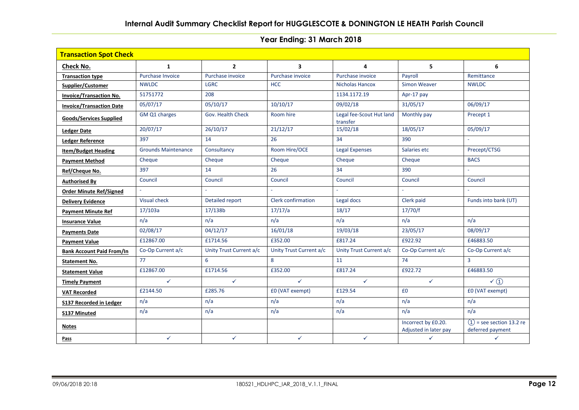| <b>Transaction Spot Check</b>    |                            |                         |                           |                                      |                                              |                                                 |  |  |  |
|----------------------------------|----------------------------|-------------------------|---------------------------|--------------------------------------|----------------------------------------------|-------------------------------------------------|--|--|--|
| Check No.                        | $\mathbf{1}$               | $\overline{2}$          | $\overline{\mathbf{3}}$   | 4                                    | 5                                            | 6                                               |  |  |  |
| <b>Transaction type</b>          | Purchase Invoice           | Purchase invoice        | Purchase invoice          | Purchase invoice                     | Payroll                                      | Remittance                                      |  |  |  |
| Supplier/Customer                | <b>NWLDC</b>               | <b>LGRC</b>             | <b>HCC</b>                | Nicholas Hancox                      | Simon Weaver                                 | <b>NWLDC</b>                                    |  |  |  |
| <b>Invoice/Transaction No.</b>   | 51751772                   | 208                     |                           | 1134.1172.19                         | Apr-17 pay                                   |                                                 |  |  |  |
| <b>Invoice/Transaction Date</b>  | 05/07/17                   | 05/10/17                | 10/10/17                  | 09/02/18                             | 31/05/17                                     | 06/09/17                                        |  |  |  |
| Goods/Services Supplied          | GM Q1 charges              | Gov. Health Check       | Room hire                 | Legal fee-Scout Hut land<br>transfer | Monthly pay                                  | Precept 1                                       |  |  |  |
| <b>Ledger Date</b>               | 20/07/17                   | 26/10/17                | 21/12/17                  | 15/02/18                             | 18/05/17                                     | 05/09/17                                        |  |  |  |
| <b>Ledger Reference</b>          | 397                        | 14                      | 26                        | 34                                   | 390                                          |                                                 |  |  |  |
| <b>Item/Budget Heading</b>       | <b>Grounds Maintenance</b> | Consultancy             | Room Hire/OCE             | <b>Legal Expenses</b>                | Salaries etc                                 | Precept/CTSG                                    |  |  |  |
| <b>Payment Method</b>            | Cheque                     | Cheque                  | Cheque                    | Cheque                               | Cheque                                       | <b>BACS</b>                                     |  |  |  |
| Ref/Cheque No.                   | 397                        | 14                      | 26                        | 34                                   | 390                                          |                                                 |  |  |  |
| <b>Authorised By</b>             | Council                    | Council                 | Council                   | Council                              | Council                                      | Council                                         |  |  |  |
| <b>Order Minute Ref/Signed</b>   | $\sim$                     | $\mathbf{r}$            | $\mathbf{r}$              | L,                                   | $\mathcal{L}_{\mathcal{A}}$                  | $\sim$                                          |  |  |  |
| <b>Delivery Evidence</b>         | Visual check               | Detailed report         | <b>Clerk confirmation</b> | Legal docs                           | Clerk paid                                   | Funds into bank (UT)                            |  |  |  |
| <b>Payment Minute Ref</b>        | 17/103a                    | 17/138b                 | 17/17/a                   | 18/17                                | 17/70/f                                      |                                                 |  |  |  |
| <b>Insurance Value</b>           | n/a                        | n/a                     | n/a                       | n/a                                  | n/a                                          | n/a                                             |  |  |  |
| <b>Payments Date</b>             | 02/08/17                   | 04/12/17                | 16/01/18                  | 19/03/18                             | 23/05/17                                     | 08/09/17                                        |  |  |  |
| <b>Payment Value</b>             | £12867.00                  | £1714.56                | £352.00                   | £817.24                              | £922.92                                      | £46883.50                                       |  |  |  |
| <b>Bank Account Paid From/In</b> | Co-Op Current a/c          | Unity Trust Current a/c | Unity Trust Current a/c   | Unity Trust Current a/c              | Co-Op Current a/c                            | Co-Op Current a/c                               |  |  |  |
| <b>Statement No.</b>             | 77                         | 6                       | 8                         | 11                                   | 74                                           | $\overline{3}$                                  |  |  |  |
| <b>Statement Value</b>           | £12867.00                  | £1714.56                | £352.00                   | £817.24                              | £922.72                                      | £46883.50                                       |  |  |  |
| <b>Timely Payment</b>            | $\checkmark$               | $\checkmark$            | $\checkmark$              | $\checkmark$                         | $\checkmark$                                 | $\checkmark$ (1)                                |  |  |  |
| <b>VAT Recorded</b>              | £2144.50                   | £285.76                 | £0 (VAT exempt)           | £129.54                              | £0                                           | <b>EO</b> (VAT exempt)                          |  |  |  |
| <b>S137 Recorded in Ledger</b>   | n/a                        | n/a                     | n/a                       | n/a                                  | n/a                                          | n/a                                             |  |  |  |
| <b>S137 Minuted</b>              | n/a                        | n/a                     | n/a                       | n/a                                  | n/a                                          | n/a                                             |  |  |  |
| <b>Notes</b>                     |                            |                         |                           |                                      | Incorrect by £0.20.<br>Adjusted in later pay | $(1)$ = see section 13.2 re<br>deferred payment |  |  |  |
| Pass                             | $\checkmark$               | $\checkmark$            | $\checkmark$              | $\checkmark$                         | $\checkmark$                                 | $\checkmark$                                    |  |  |  |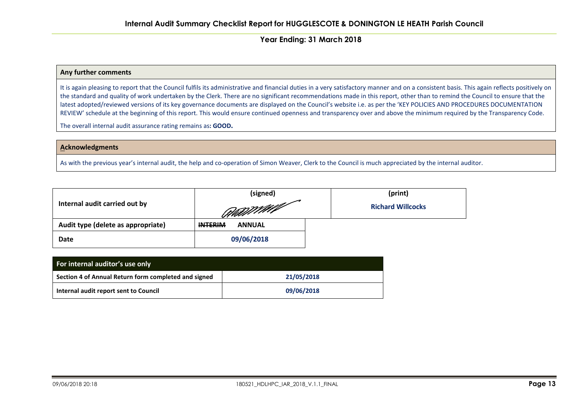#### **Any further comments**

It is again pleasing to report that the Council fulfils its administrative and financial duties in a very satisfactory manner and on a consistent basis. This again reflects positively on the standard and quality of work undertaken by the Clerk. There are no significant recommendations made in this report, other than to remind the Council to ensure that the latest adopted/reviewed versions of its key governance documents are displayed on the Council's website i.e. as per the 'KEY POLICIES AND PROCEDURES DOCUMENTATION REVIEW' schedule at the beginning of this report. This would ensure continued openness and transparency over and above the minimum required by the Transparency Code.

The overall internal audit assurance rating remains as**: GOOD.**

#### **Acknowledgments**

As with the previous year's internal audit, the help and co-operation of Simon Weaver, Clerk to the Council is much appreciated by the internal auditor.

|                                    | (signed)                        | (print)                  |  |
|------------------------------------|---------------------------------|--------------------------|--|
| Internal audit carried out by      | RAMMAN                          | <b>Richard Willcocks</b> |  |
| Audit type (delete as appropriate) | <b>INTERIM</b><br><b>ANNUAL</b> |                          |  |
| Date                               | 09/06/2018                      |                          |  |

| For internal auditor's use only                      |            |  |  |  |
|------------------------------------------------------|------------|--|--|--|
| Section 4 of Annual Return form completed and signed | 21/05/2018 |  |  |  |
| Internal audit report sent to Council                | 09/06/2018 |  |  |  |